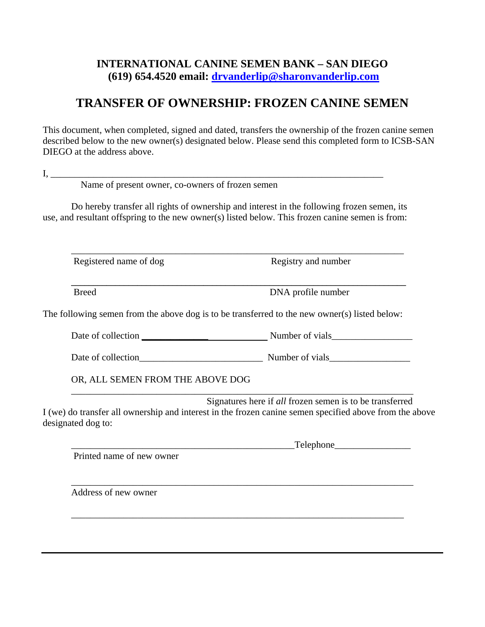## **INTERNATIONAL CANINE SEMEN BANK – SAN DIEGO (619) 654.4520 email: [drvanderlip@sharonvanderlip.com](mailto:drvanderlip@sharonvanderlip.com)**

## **TRANSFER OF OWNERSHIP: FROZEN CANINE SEMEN**

This document, when completed, signed and dated, transfers the ownership of the frozen canine semen described below to the new owner(s) designated below. Please send this completed form to ICSB-SAN DIEGO at the address above.

| -- |  |
|----|--|
|    |  |
|    |  |
|    |  |
| -- |  |

Name of present owner, co-owners of frozen semen

Do hereby transfer all rights of ownership and interest in the following frozen semen, its use, and resultant offspring to the new owner(s) listed below. This frozen canine semen is from:

Registered name of dog Registry and number

\_\_\_\_\_\_\_\_\_\_\_\_\_\_\_\_\_\_\_\_\_\_\_\_\_\_\_\_\_\_\_\_\_\_\_\_\_\_\_\_\_\_\_\_\_\_\_\_\_\_\_\_\_\_\_\_\_\_\_\_\_\_\_\_\_\_\_\_\_\_\_\_\_\_\_\_ Breed DNA profile number

The following semen from the above dog is to be transferred to the new owner(s) listed below:

Date of collection **we can also collection Number of vials** 

\_\_\_\_\_\_\_\_\_\_\_\_\_\_\_\_\_\_\_\_\_\_\_\_\_\_\_\_\_\_\_\_\_\_\_\_\_\_\_\_\_\_\_\_\_\_\_\_\_\_\_\_\_\_\_\_\_\_\_\_\_\_\_\_\_\_\_\_\_\_

Date of collection number of vials

\_\_\_\_\_\_\_\_\_\_\_\_\_\_\_\_\_\_\_\_\_\_\_\_\_\_\_\_\_\_\_\_\_\_\_\_\_\_\_\_\_\_\_\_\_\_\_\_\_\_\_\_\_\_\_\_\_\_\_\_\_\_\_\_\_\_\_\_\_\_\_\_

OR, ALL SEMEN FROM THE ABOVE DOG

 Signatures here if *all* frozen semen is to be transferred I (we) do transfer all ownership and interest in the frozen canine semen specified above from the above designated dog to:

\_\_\_\_\_\_\_\_\_\_\_\_\_\_\_\_\_\_\_\_\_\_\_\_\_\_\_\_\_\_\_\_\_\_\_\_\_\_\_\_\_\_\_\_\_\_\_Telephone\_\_\_\_\_\_\_\_\_\_\_\_\_\_\_\_ Printed name of new owner \_\_\_\_\_\_\_\_\_\_\_\_\_\_\_\_\_\_\_\_\_\_\_\_\_\_\_\_\_\_\_\_\_\_\_\_\_\_\_\_\_\_\_\_\_\_\_\_\_\_\_\_\_\_\_\_\_\_\_\_\_\_\_\_\_\_\_\_\_\_\_\_ Address of new owner \_\_\_\_\_\_\_\_\_\_\_\_\_\_\_\_\_\_\_\_\_\_\_\_\_\_\_\_\_\_\_\_\_\_\_\_\_\_\_\_\_\_\_\_\_\_\_\_\_\_\_\_\_\_\_\_\_\_\_\_\_\_\_\_\_\_\_\_\_\_